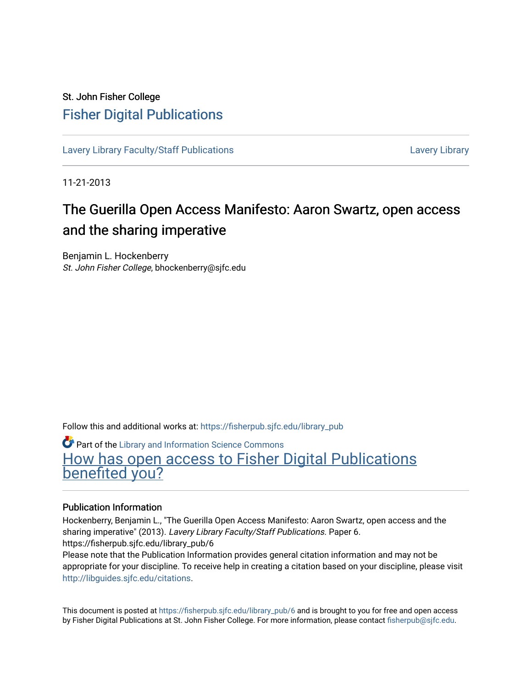## St. John Fisher College [Fisher Digital Publications](https://fisherpub.sjfc.edu/)

[Lavery Library Faculty/Staff Publications](https://fisherpub.sjfc.edu/library_pub) **Latter Controllery Library Library** Lavery Library

11-21-2013

# The Guerilla Open Access Manifesto: Aaron Swartz, open access and the sharing imperative

Benjamin L. Hockenberry St. John Fisher College, bhockenberry@sjfc.edu

Follow this and additional works at: [https://fisherpub.sjfc.edu/library\\_pub](https://fisherpub.sjfc.edu/library_pub?utm_source=fisherpub.sjfc.edu%2Flibrary_pub%2F6&utm_medium=PDF&utm_campaign=PDFCoverPages)

Part of the [Library and Information Science Commons](http://network.bepress.com/hgg/discipline/1018?utm_source=fisherpub.sjfc.edu%2Flibrary_pub%2F6&utm_medium=PDF&utm_campaign=PDFCoverPages) 

[How has open access to Fisher Digital Publications](https://docs.google.com/forms/d/14zrnDfH9d1wcdq8oG_-gFabAsxfcH5claltx85ZWyTg/viewform?entry.1394608989=https://fisherpub.sjfc.edu/library_pub/6%3Chttps://docs.google.com/forms/d/14zrnDfH9d1wcdq8oG_-gFabAsxfcH5claltx85ZWyTg/viewform?entry.1394608989=%7bhttps://fisherpub.sjfc.edu/library_pub/6%7d) [benefited you?](https://docs.google.com/forms/d/14zrnDfH9d1wcdq8oG_-gFabAsxfcH5claltx85ZWyTg/viewform?entry.1394608989=https://fisherpub.sjfc.edu/library_pub/6%3Chttps://docs.google.com/forms/d/14zrnDfH9d1wcdq8oG_-gFabAsxfcH5claltx85ZWyTg/viewform?entry.1394608989=%7bhttps://fisherpub.sjfc.edu/library_pub/6%7d)

#### Publication Information

Hockenberry, Benjamin L., "The Guerilla Open Access Manifesto: Aaron Swartz, open access and the sharing imperative" (2013). Lavery Library Faculty/Staff Publications. Paper 6. https://fisherpub.sjfc.edu/library\_pub/6 Please note that the Publication Information provides general citation information and may not be appropriate for your discipline. To receive help in creating a citation based on your discipline, please visit [http://libguides.sjfc.edu/citations.](http://libguides.sjfc.edu/citations)

This document is posted at [https://fisherpub.sjfc.edu/library\\_pub/6](https://fisherpub.sjfc.edu/library_pub/6) and is brought to you for free and open access by Fisher Digital Publications at St. John Fisher College. For more information, please contact [fisherpub@sjfc.edu](mailto:fisherpub@sjfc.edu).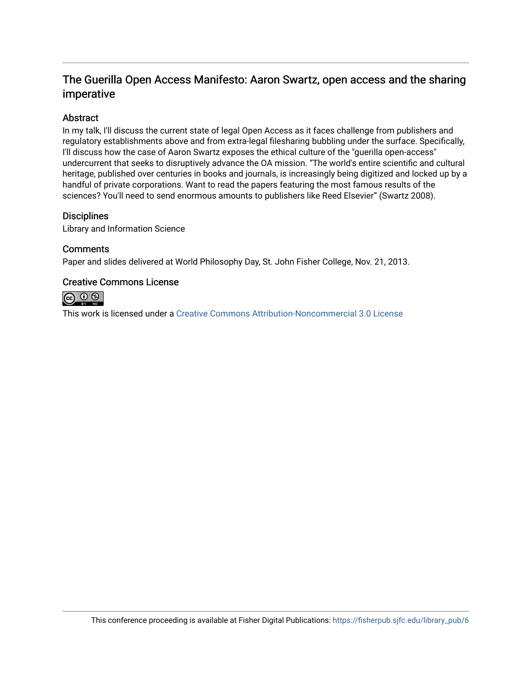### The Guerilla Open Access Manifesto: Aaron Swartz, open access and the sharing imperative

#### Abstract

In my talk, I'll discuss the current state of legal Open Access as it faces challenge from publishers and regulatory establishments above and from extra-legal filesharing bubbling under the surface. Specifically, I'll discuss how the case of Aaron Swartz exposes the ethical culture of the "guerilla open-access" undercurrent that seeks to disruptively advance the OA mission. "The world's entire scientific and cultural heritage, published over centuries in books and journals, is increasingly being digitized and locked up by a handful of private corporations. Want to read the papers featuring the most famous results of the sciences? You'll need to send enormous amounts to publishers like Reed Elsevier" (Swartz 2008).

#### **Disciplines**

Library and Information Science

#### **Comments**

Paper and slides delivered at World Philosophy Day, St. John Fisher College, Nov. 21, 2013.

#### Creative Commons License



This work is licensed under a [Creative Commons Attribution-Noncommercial 3.0 License](https://creativecommons.org/licenses/by-nc/3.0/)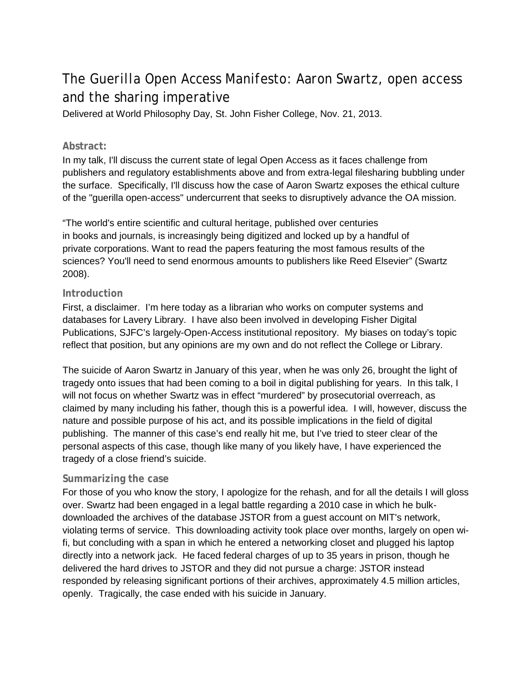## The *Guerilla Open Access Manifesto*: Aaron Swartz, open access and the sharing imperative

Delivered at World Philosophy Day, St. John Fisher College, Nov. 21, 2013.

#### **Abstract:**

In my talk, I'll discuss the current state of legal Open Access as it faces challenge from publishers and regulatory establishments above and from extra-legal filesharing bubbling under the surface. Specifically, I'll discuss how the case of Aaron Swartz exposes the ethical culture of the "guerilla open-access" undercurrent that seeks to disruptively advance the OA mission.

"The world's entire scientific and cultural heritage, published over centuries in books and journals, is increasingly being digitized and locked up by a handful of private corporations. Want to read the papers featuring the most famous results of the sciences? You'll need to send enormous amounts to publishers like Reed Elsevier" (Swartz 2008).

#### **Introduction**

First, a disclaimer. I'm here today as a librarian who works on computer systems and databases for Lavery Library. I have also been involved in developing Fisher Digital Publications, SJFC's largely-Open-Access institutional repository. My biases on today's topic reflect that position, but any opinions are my own and do not reflect the College or Library.

The suicide of Aaron Swartz in January of this year, when he was only 26, brought the light of tragedy onto issues that had been coming to a boil in digital publishing for years. In this talk, I will not focus on whether Swartz was in effect "murdered" by prosecutorial overreach, as claimed by many including his father, though this is a powerful idea. I will, however, discuss the nature and possible purpose of his act, and its possible implications in the field of digital publishing. The manner of this case's end really hit me, but I've tried to steer clear of the personal aspects of this case, though like many of you likely have, I have experienced the tragedy of a close friend's suicide.

#### **Summarizing the case**

For those of you who know the story, I apologize for the rehash, and for all the details I will gloss over. Swartz had been engaged in a legal battle regarding a 2010 case in which he bulkdownloaded the archives of the database JSTOR from a guest account on MIT's network, violating terms of service. This downloading activity took place over months, largely on open wifi, but concluding with a span in which he entered a networking closet and plugged his laptop directly into a network jack. He faced federal charges of up to 35 years in prison, though he delivered the hard drives to JSTOR and they did not pursue a charge: JSTOR instead responded by releasing significant portions of their archives, approximately 4.5 million articles, openly. Tragically, the case ended with his suicide in January.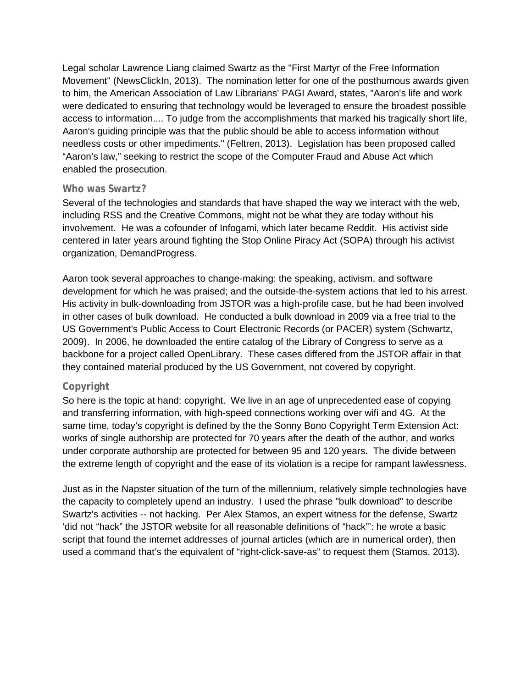Legal scholar Lawrence Liang claimed Swartz as the "First Martyr of the Free Information Movement" (NewsClickIn, 2013). The nomination letter for one of the posthumous awards given to him, the American Association of Law Librarians' PAGI Award, states, "Aaron's life and work were dedicated to ensuring that technology would be leveraged to ensure the broadest possible access to information.... To judge from the accomplishments that marked his tragically short life, Aaron's guiding principle was that the public should be able to access information without needless costs or other impediments." (Feltren, 2013). Legislation has been proposed called "Aaron's law," seeking to restrict the scope of the Computer Fraud and Abuse Act which enabled the prosecution.

#### **Who was Swartz?**

Several of the technologies and standards that have shaped the way we interact with the web, including RSS and the Creative Commons, might not be what they are today without his involvement. He was a cofounder of Infogami, which later became Reddit. His activist side centered in later years around fighting the Stop Online Piracy Act (SOPA) through his activist organization, DemandProgress.

Aaron took several approaches to change-making: the speaking, activism, and software development for which he was praised; and the outside-the-system actions that led to his arrest. His activity in bulk-downloading from JSTOR was a high-profile case, but he had been involved in other cases of bulk download. He conducted a bulk download in 2009 via a free trial to the US Government's Public Access to Court Electronic Records (or PACER) system (Schwartz, 2009). In 2006, he downloaded the entire catalog of the Library of Congress to serve as a backbone for a project called OpenLibrary. These cases differed from the JSTOR affair in that they contained material produced by the US Government, not covered by copyright.

#### **Copyright**

So here is the topic at hand: copyright. We live in an age of unprecedented ease of copying and transferring information, with high-speed connections working over wifi and 4G. At the same time, today's copyright is defined by the the Sonny Bono Copyright Term Extension Act: works of single authorship are protected for 70 years after the death of the author, and works under corporate authorship are protected for between 95 and 120 years. The divide between the extreme length of copyright and the ease of its violation is a recipe for rampant lawlessness.

Just as in the Napster situation of the turn of the millennium, relatively simple technologies have the capacity to completely upend an industry. I used the phrase "bulk download" to describe Swartz's activities -- not hacking. Per Alex Stamos, an expert witness for the defense, Swartz 'did not "hack" the JSTOR website for all reasonable definitions of "hack"': he wrote a basic script that found the internet addresses of journal articles (which are in numerical order), then used a command that's the equivalent of "right-click-save-as" to request them (Stamos, 2013).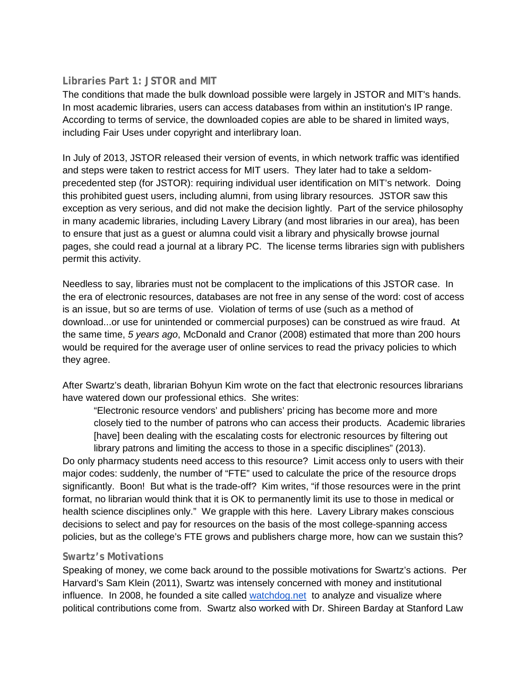#### **Libraries Part 1: JSTOR and MIT**

The conditions that made the bulk download possible were largely in JSTOR and MIT's hands. In most academic libraries, users can access databases from within an institution's IP range. According to terms of service, the downloaded copies are able to be shared in limited ways, including Fair Uses under copyright and interlibrary loan.

In July of 2013, JSTOR released their version of events, in which network traffic was identified and steps were taken to restrict access for MIT users. They later had to take a seldomprecedented step (for JSTOR): requiring individual user identification on MIT's network. Doing this prohibited guest users, including alumni, from using library resources. JSTOR saw this exception as very serious, and did not make the decision lightly. Part of the service philosophy in many academic libraries, including Lavery Library (and most libraries in our area), has been to ensure that just as a guest or alumna could visit a library and physically browse journal pages, she could read a journal at a library PC. The license terms libraries sign with publishers permit this activity.

Needless to say, libraries must not be complacent to the implications of this JSTOR case. In the era of electronic resources, databases are not free in any sense of the word: cost of access is an issue, but so are terms of use. Violation of terms of use (such as a method of download...or use for unintended or commercial purposes) can be construed as wire fraud. At the same time, *5 years ago*, McDonald and Cranor (2008) estimated that more than 200 hours would be required for the average user of online services to read the privacy policies to which they agree.

After Swartz's death, librarian Bohyun Kim wrote on the fact that electronic resources librarians have watered down our professional ethics. She writes:

"Electronic resource vendors' and publishers' pricing has become more and more closely tied to the number of patrons who can access their products. Academic libraries [have] been dealing with the escalating costs for electronic resources by filtering out library patrons and limiting the access to those in a specific disciplines" (2013).

Do only pharmacy students need access to this resource? Limit access only to users with their major codes: suddenly, the number of "FTE" used to calculate the price of the resource drops significantly. Boon! But what is the trade-off? Kim writes, "if those resources were in the print format, no librarian would think that it is OK to permanently limit its use to those in medical or health science disciplines only." We grapple with this here. Lavery Library makes conscious decisions to select and pay for resources on the basis of the most college-spanning access policies, but as the college's FTE grows and publishers charge more, how can we sustain this?

#### **Swartz's Motivations**

Speaking of money, we come back around to the possible motivations for Swartz's actions. Per Harvard's Sam Klein (2011), Swartz was intensely concerned with money and institutional influence. In 2008, he founded a site called [watchdog.net](http://watchdog.net/) to analyze and visualize where political contributions come from. Swartz also worked with Dr. Shireen Barday at Stanford Law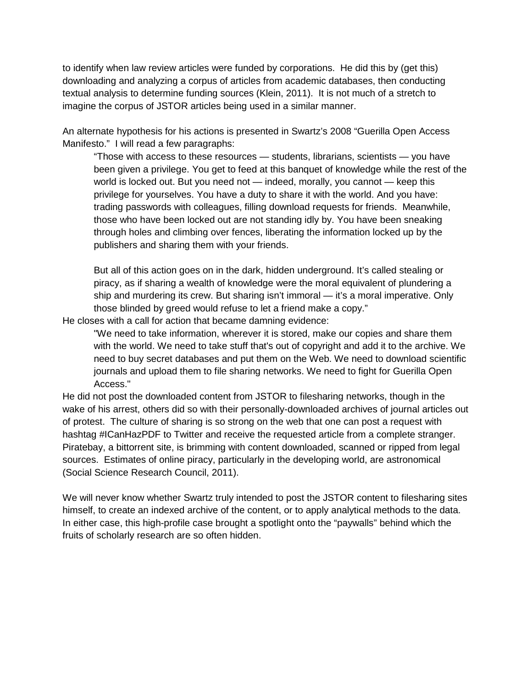to identify when law review articles were funded by corporations. He did this by (get this) downloading and analyzing a corpus of articles from academic databases, then conducting textual analysis to determine funding sources (Klein, 2011). It is not much of a stretch to imagine the corpus of JSTOR articles being used in a similar manner.

An alternate hypothesis for his actions is presented in Swartz's 2008 "Guerilla Open Access Manifesto." I will read a few paragraphs:

"Those with access to these resources — students, librarians, scientists — you have been given a privilege. You get to feed at this banquet of knowledge while the rest of the world is locked out. But you need not — indeed, morally, you cannot — keep this privilege for yourselves. You have a duty to share it with the world. And you have: trading passwords with colleagues, filling download requests for friends. Meanwhile, those who have been locked out are not standing idly by. You have been sneaking through holes and climbing over fences, liberating the information locked up by the publishers and sharing them with your friends.

But all of this action goes on in the dark, hidden underground. It's called stealing or piracy, as if sharing a wealth of knowledge were the moral equivalent of plundering a ship and murdering its crew. But sharing isn't immoral — it's a moral imperative. Only those blinded by greed would refuse to let a friend make a copy."

He closes with a call for action that became damning evidence:

"We need to take information, wherever it is stored, make our copies and share them with the world. We need to take stuff that's out of copyright and add it to the archive. We need to buy secret databases and put them on the Web. We need to download scientific journals and upload them to file sharing networks. We need to fight for Guerilla Open Access."

He did not post the downloaded content from JSTOR to filesharing networks, though in the wake of his arrest, others did so with their personally-downloaded archives of journal articles out of protest. The culture of sharing is so strong on the web that one can post a request with hashtag #ICanHazPDF to Twitter and receive the requested article from a complete stranger. Piratebay, a bittorrent site, is brimming with content downloaded, scanned or ripped from legal sources. Estimates of online piracy, particularly in the developing world, are astronomical (Social Science Research Council, 2011).

We will never know whether Swartz truly intended to post the JSTOR content to filesharing sites himself, to create an indexed archive of the content, or to apply analytical methods to the data. In either case, this high-profile case brought a spotlight onto the "paywalls" behind which the fruits of scholarly research are so often hidden.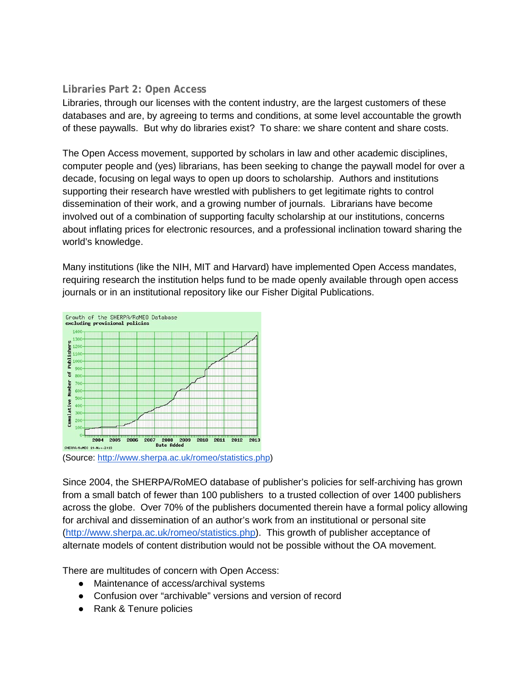#### **Libraries Part 2: Open Access**

Libraries, through our licenses with the content industry, are the largest customers of these databases and are, by agreeing to terms and conditions, at some level accountable the growth of these paywalls. But why do libraries exist? To share: we share content and share costs.

The Open Access movement, supported by scholars in law and other academic disciplines, computer people and (yes) librarians, has been seeking to change the paywall model for over a decade, focusing on legal ways to open up doors to scholarship. Authors and institutions supporting their research have wrestled with publishers to get legitimate rights to control dissemination of their work, and a growing number of journals. Librarians have become involved out of a combination of supporting faculty scholarship at our institutions, concerns about inflating prices for electronic resources, and a professional inclination toward sharing the world's knowledge.

Many institutions (like the NIH, MIT and Harvard) have implemented Open Access mandates, requiring research the institution helps fund to be made openly available through open access journals or in an institutional repository like our Fisher Digital Publications.



Since 2004, the SHERPA/RoMEO database of publisher's policies for self-archiving has grown from a small batch of fewer than 100 publishers to a trusted collection of over 1400 publishers across the globe. Over 70% of the publishers documented therein have a formal policy allowing for archival and dissemination of an author's work from an institutional or personal site [\(http://www.sherpa.ac.uk/romeo/statistics.php\)](http://www.sherpa.ac.uk/romeo/statistics.php). This growth of publisher acceptance of alternate models of content distribution would not be possible without the OA movement.

There are multitudes of concern with Open Access:

- Maintenance of access/archival systems
- Confusion over "archivable" versions and version of record
- Rank & Tenure policies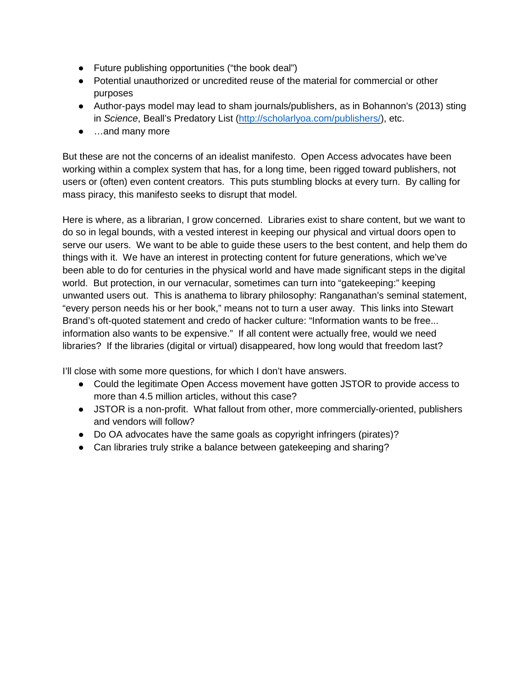- Future publishing opportunities ("the book deal")
- Potential unauthorized or uncredited reuse of the material for commercial or other purposes
- Author-pays model may lead to sham journals/publishers, as in Bohannon's (2013) sting in *Science*, Beall's Predatory List [\(http://scholarlyoa.com/publishers/\)](http://scholarlyoa.com/publishers/), etc.
- …and many more

But these are not the concerns of an idealist manifesto. Open Access advocates have been working within a complex system that has, for a long time, been rigged toward publishers, not users or (often) even content creators. This puts stumbling blocks at every turn. By calling for mass piracy, this manifesto seeks to disrupt that model.

Here is where, as a librarian, I grow concerned. Libraries exist to share content, but we want to do so in legal bounds, with a vested interest in keeping our physical and virtual doors open to serve our users. We want to be able to guide these users to the best content, and help them do things with it. We have an interest in protecting content for future generations, which we've been able to do for centuries in the physical world and have made significant steps in the digital world. But protection, in our vernacular, sometimes can turn into "gatekeeping:" keeping unwanted users out. This is anathema to library philosophy: Ranganathan's seminal statement, "every person needs his or her book," means not to turn a user away. This links into Stewart Brand's oft-quoted statement and credo of hacker culture: "Information wants to be free... information also wants to be expensive." If all content were actually free, would we need libraries? If the libraries (digital or virtual) disappeared, how long would that freedom last?

I'll close with some more questions, for which I don't have answers.

- Could the legitimate Open Access movement have gotten JSTOR to provide access to more than 4.5 million articles, without this case?
- JSTOR is a non-profit. What fallout from other, more commercially-oriented, publishers and vendors will follow?
- Do OA advocates have the same goals as copyright infringers (pirates)?
- Can libraries truly strike a balance between gatekeeping and sharing?